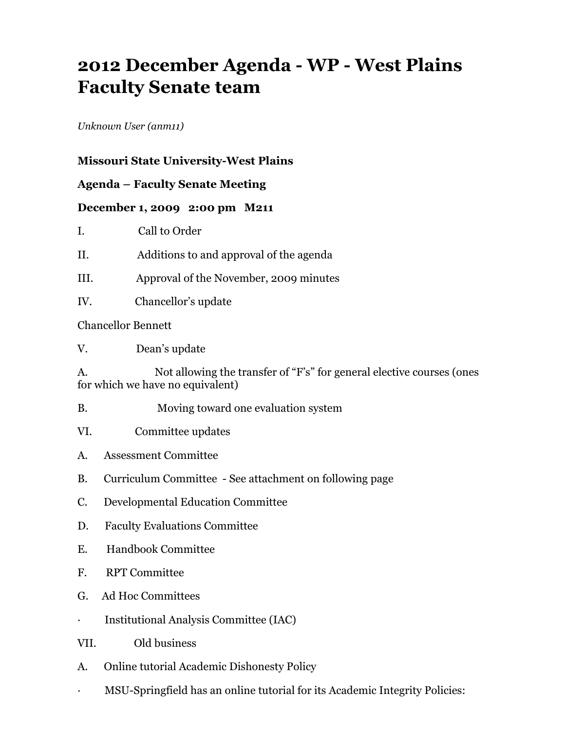## **2012 December Agenda - WP - West Plains Faculty Senate team**

*Unknown User (anm11)*

## **Missouri State University-West Plains**

## **Agenda – Faculty Senate Meeting**

## **December 1, 2009 2:00 pm M211**

I. Call to Order

- II. Additions to and approval of the agenda
- III. Approval of the November, 2009 minutes
- IV. Chancellor's update

Chancellor Bennett

V. Dean's update

A. Not allowing the transfer of "F's" for general elective courses (ones for which we have no equivalent)

- B. Moving toward one evaluation system
- VI. Committee updates
- A. Assessment Committee
- B. Curriculum Committee See attachment on following page
- C. Developmental Education Committee
- D. Faculty Evaluations Committee
- E. Handbook Committee
- F. RPT Committee
- G. Ad Hoc Committees
- · Institutional Analysis Committee (IAC)
- VII. Old business
- A. Online tutorial Academic Dishonesty Policy
- · MSU-Springfield has an online tutorial for its Academic Integrity Policies: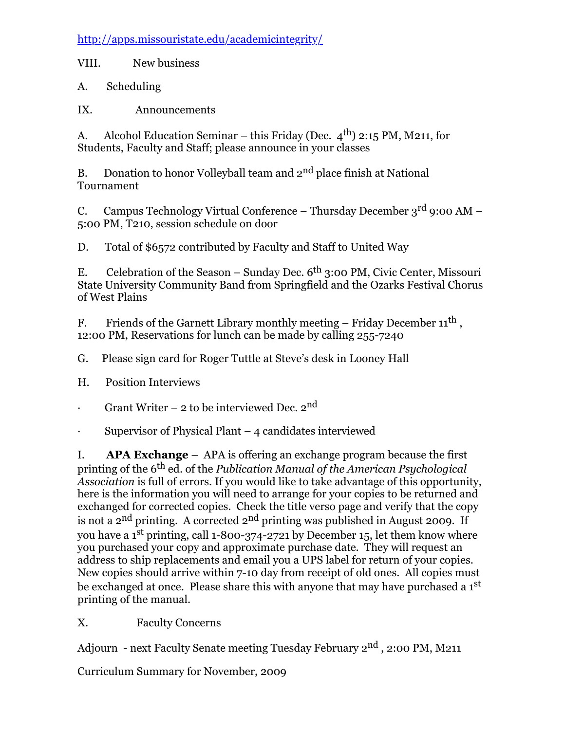http://apps.missouristate.edu/academicintegrity/

VIII. New business

A. Scheduling

IX. Announcements

A. Alcohol Education Seminar – this Friday (Dec.  $4^{th}$ ) 2:15 PM, M211, for Students, Faculty and Staff; please announce in your classes

B. Donation to honor Volleyball team and  $2<sup>nd</sup>$  place finish at National Tournament

C. Campus Technology Virtual Conference – Thursday December  $3^{\text{rd}}$  9:00 AM – 5:00 PM, T210, session schedule on door

D. Total of \$6572 contributed by Faculty and Staff to United Way

E. Celebration of the Season – Sunday Dec.  $6^{th}$  3:00 PM, Civic Center, Missouri State University Community Band from Springfield and the Ozarks Festival Chorus of West Plains

F. Friends of the Garnett Library monthly meeting – Friday December  $11^{th}$ , 12:00 PM, Reservations for lunch can be made by calling 255-7240

G. Please sign card for Roger Tuttle at Steve's desk in Looney Hall

H. Position Interviews

· Grant Writer – 2 to be interviewed Dec.  $2^{nd}$ 

· Supervisor of Physical Plant – 4 candidates interviewed

I. **APA Exchange** – APA is offering an exchange program because the first printing of the 6th ed. of the *Publication Manual of the American Psychological Association* is full of errors. If you would like to take advantage of this opportunity, here is the information you will need to arrange for your copies to be returned and exchanged for corrected copies. Check the title verso page and verify that the copy is not a  $2<sup>nd</sup>$  printing. A corrected  $2<sup>nd</sup>$  printing was published in August 2009. If you have a 1<sup>st</sup> printing, call 1-800-374-2721 by December 15, let them know where you purchased your copy and approximate purchase date. They will request an address to ship replacements and email you a UPS label for return of your copies. New copies should arrive within 7-10 day from receipt of old ones. All copies must be exchanged at once. Please share this with anyone that may have purchased a  $1<sup>st</sup>$ printing of the manual.

X. Faculty Concerns

Adjourn - next Faculty Senate meeting Tuesday February 2<sup>nd</sup>, 2:00 PM, M211

Curriculum Summary for November, 2009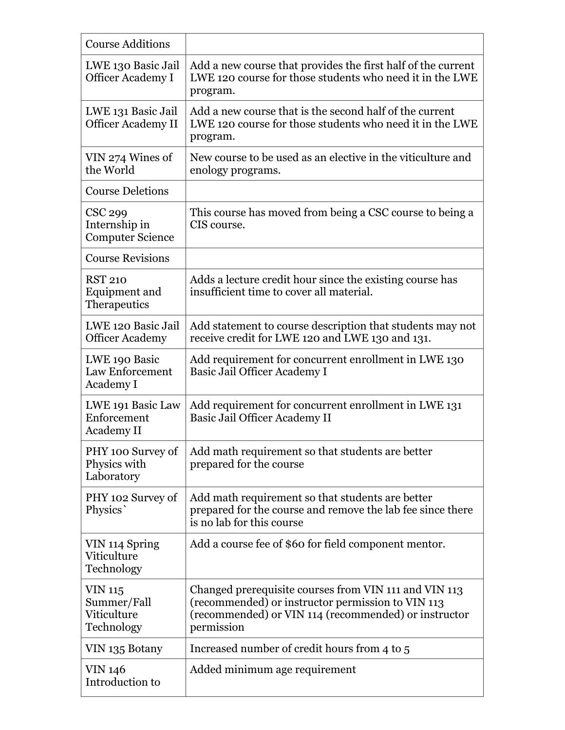| <b>Course Additions</b>                                    |                                                                                                                                                                                  |
|------------------------------------------------------------|----------------------------------------------------------------------------------------------------------------------------------------------------------------------------------|
| LWE 130 Basic Jail<br><b>Officer Academy I</b>             | Add a new course that provides the first half of the current<br>LWE 120 course for those students who need it in the LWE<br>program.                                             |
| LWE 131 Basic Jail<br><b>Officer Academy II</b>            | Add a new course that is the second half of the current<br>LWE 120 course for those students who need it in the LWE<br>program.                                                  |
| VIN 274 Wines of<br>the World                              | New course to be used as an elective in the viticulture and<br>enology programs.                                                                                                 |
| <b>Course Deletions</b>                                    |                                                                                                                                                                                  |
| CSC 299<br>Internship in<br><b>Computer Science</b>        | This course has moved from being a CSC course to being a<br>CIS course.                                                                                                          |
| <b>Course Revisions</b>                                    |                                                                                                                                                                                  |
| <b>RST 210</b><br>Equipment and<br>Therapeutics            | Adds a lecture credit hour since the existing course has<br>insufficient time to cover all material.                                                                             |
| LWE 120 Basic Jail<br><b>Officer Academy</b>               | Add statement to course description that students may not<br>receive credit for LWE 120 and LWE 130 and 131.                                                                     |
| LWE 190 Basic<br><b>Law Enforcement</b><br>Academy I       | Add requirement for concurrent enrollment in LWE 130<br>Basic Jail Officer Academy I                                                                                             |
| LWE 191 Basic Law<br>Enforcement<br><b>Academy II</b>      | Add requirement for concurrent enrollment in LWE 131<br>Basic Jail Officer Academy II                                                                                            |
| PHY 100 Survey of<br>Physics with<br>Laboratory            | Add math requirement so that students are better<br>prepared for the course                                                                                                      |
| PHY 102 Survey of<br>Physics                               | Add math requirement so that students are better<br>prepared for the course and remove the lab fee since there<br>is no lab for this course                                      |
| VIN 114 Spring<br>Viticulture<br>Technology                | Add a course fee of \$60 for field component mentor.                                                                                                                             |
| <b>VIN 115</b><br>Summer/Fall<br>Viticulture<br>Technology | Changed prerequisite courses from VIN 111 and VIN 113<br>(recommended) or instructor permission to VIN 113<br>(recommended) or VIN 114 (recommended) or instructor<br>permission |
| VIN 135 Botany                                             | Increased number of credit hours from 4 to 5                                                                                                                                     |
| <b>VIN 146</b><br>Introduction to                          | Added minimum age requirement                                                                                                                                                    |